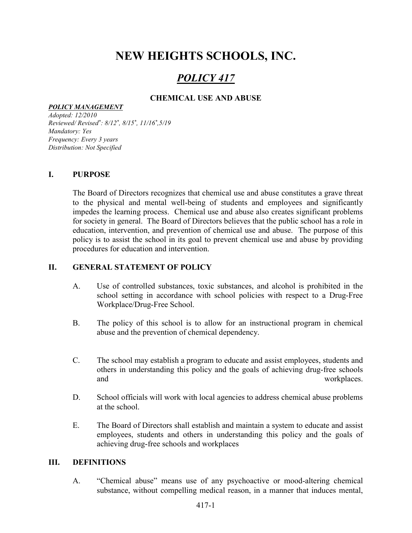# NEW HEIGHTS SCHOOLS, INC.

## POLICY 417

## CHEMICAL USE AND ABUSE

#### POLICY MANAGEMENT

Adopted: 12/2010 Reviewed/ Revised\* : 8/12\* , 8/15\* , 11/16\* ,5/19 Mandatory: Yes Frequency: Every 3 years Distribution: Not Specified

#### I. PURPOSE

The Board of Directors recognizes that chemical use and abuse constitutes a grave threat to the physical and mental well-being of students and employees and significantly impedes the learning process. Chemical use and abuse also creates significant problems for society in general. The Board of Directors believes that the public school has a role in education, intervention, and prevention of chemical use and abuse. The purpose of this policy is to assist the school in its goal to prevent chemical use and abuse by providing procedures for education and intervention.

#### II. GENERAL STATEMENT OF POLICY

- A. Use of controlled substances, toxic substances, and alcohol is prohibited in the school setting in accordance with school policies with respect to a Drug-Free Workplace/Drug-Free School.
- B. The policy of this school is to allow for an instructional program in chemical abuse and the prevention of chemical dependency.
- C. The school may establish a program to educate and assist employees, students and others in understanding this policy and the goals of achieving drug-free schools and workplaces.
- D. School officials will work with local agencies to address chemical abuse problems at the school.
- E. The Board of Directors shall establish and maintain a system to educate and assist employees, students and others in understanding this policy and the goals of achieving drug-free schools and workplaces

#### III. DEFINITIONS

A. "Chemical abuse" means use of any psychoactive or mood-altering chemical substance, without compelling medical reason, in a manner that induces mental,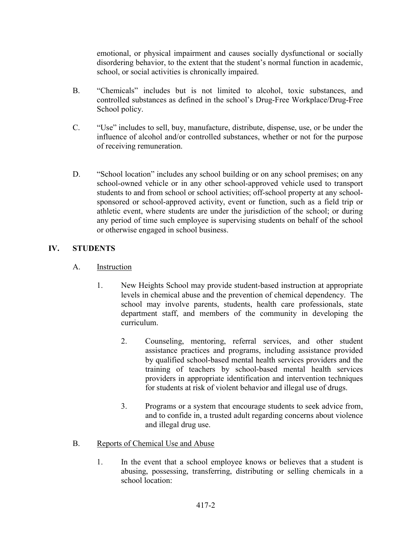emotional, or physical impairment and causes socially dysfunctional or socially disordering behavior, to the extent that the student's normal function in academic, school, or social activities is chronically impaired.

- B. "Chemicals" includes but is not limited to alcohol, toxic substances, and controlled substances as defined in the school's Drug-Free Workplace/Drug-Free School policy.
- C. "Use" includes to sell, buy, manufacture, distribute, dispense, use, or be under the influence of alcohol and/or controlled substances, whether or not for the purpose of receiving remuneration.
- D. "School location" includes any school building or on any school premises; on any school-owned vehicle or in any other school-approved vehicle used to transport students to and from school or school activities; off-school property at any schoolsponsored or school-approved activity, event or function, such as a field trip or athletic event, where students are under the jurisdiction of the school; or during any period of time such employee is supervising students on behalf of the school or otherwise engaged in school business.

## IV. STUDENTS

- A. Instruction
	- 1. New Heights School may provide student-based instruction at appropriate levels in chemical abuse and the prevention of chemical dependency. The school may involve parents, students, health care professionals, state department staff, and members of the community in developing the curriculum.
		- 2. Counseling, mentoring, referral services, and other student assistance practices and programs, including assistance provided by qualified school-based mental health services providers and the training of teachers by school-based mental health services providers in appropriate identification and intervention techniques for students at risk of violent behavior and illegal use of drugs.
		- 3. Programs or a system that encourage students to seek advice from, and to confide in, a trusted adult regarding concerns about violence and illegal drug use.
- B. Reports of Chemical Use and Abuse
	- 1. In the event that a school employee knows or believes that a student is abusing, possessing, transferring, distributing or selling chemicals in a school location: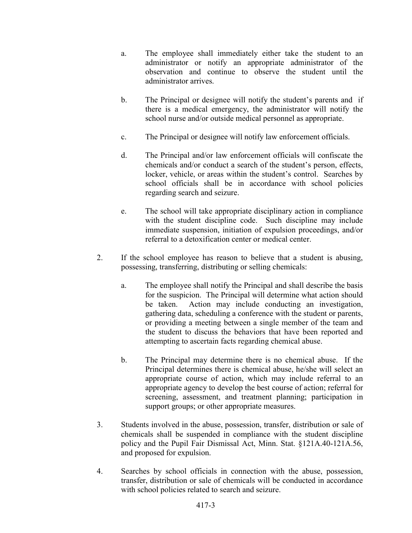- a. The employee shall immediately either take the student to an administrator or notify an appropriate administrator of the observation and continue to observe the student until the administrator arrives.
- b. The Principal or designee will notify the student's parents and if there is a medical emergency, the administrator will notify the school nurse and/or outside medical personnel as appropriate.
- c. The Principal or designee will notify law enforcement officials.
- d. The Principal and/or law enforcement officials will confiscate the chemicals and/or conduct a search of the student's person, effects, locker, vehicle, or areas within the student's control. Searches by school officials shall be in accordance with school policies regarding search and seizure.
- e. The school will take appropriate disciplinary action in compliance with the student discipline code. Such discipline may include immediate suspension, initiation of expulsion proceedings, and/or referral to a detoxification center or medical center.
- 2. If the school employee has reason to believe that a student is abusing, possessing, transferring, distributing or selling chemicals:
	- a. The employee shall notify the Principal and shall describe the basis for the suspicion. The Principal will determine what action should be taken. Action may include conducting an investigation, gathering data, scheduling a conference with the student or parents, or providing a meeting between a single member of the team and the student to discuss the behaviors that have been reported and attempting to ascertain facts regarding chemical abuse.
	- b. The Principal may determine there is no chemical abuse. If the Principal determines there is chemical abuse, he/she will select an appropriate course of action, which may include referral to an appropriate agency to develop the best course of action; referral for screening, assessment, and treatment planning; participation in support groups; or other appropriate measures.
- 3. Students involved in the abuse, possession, transfer, distribution or sale of chemicals shall be suspended in compliance with the student discipline policy and the Pupil Fair Dismissal Act, Minn. Stat. §121A.40-121A.56, and proposed for expulsion.
- 4. Searches by school officials in connection with the abuse, possession, transfer, distribution or sale of chemicals will be conducted in accordance with school policies related to search and seizure.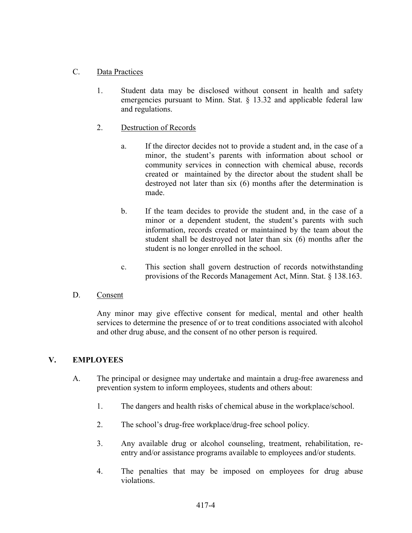### C. Data Practices

- 1. Student data may be disclosed without consent in health and safety emergencies pursuant to Minn. Stat. § 13.32 and applicable federal law and regulations.
- 2. Destruction of Records
	- a. If the director decides not to provide a student and, in the case of a minor, the student's parents with information about school or community services in connection with chemical abuse, records created or maintained by the director about the student shall be destroyed not later than six (6) months after the determination is made.
	- b. If the team decides to provide the student and, in the case of a minor or a dependent student, the student's parents with such information, records created or maintained by the team about the student shall be destroyed not later than six (6) months after the student is no longer enrolled in the school.
	- c. This section shall govern destruction of records notwithstanding provisions of the Records Management Act, Minn. Stat. § 138.163.

#### D. Consent

Any minor may give effective consent for medical, mental and other health services to determine the presence of or to treat conditions associated with alcohol and other drug abuse, and the consent of no other person is required.

#### V. EMPLOYEES

- A. The principal or designee may undertake and maintain a drug-free awareness and prevention system to inform employees, students and others about:
	- 1. The dangers and health risks of chemical abuse in the workplace/school.
	- 2. The school's drug-free workplace/drug-free school policy.
	- 3. Any available drug or alcohol counseling, treatment, rehabilitation, reentry and/or assistance programs available to employees and/or students.
	- 4. The penalties that may be imposed on employees for drug abuse violations.